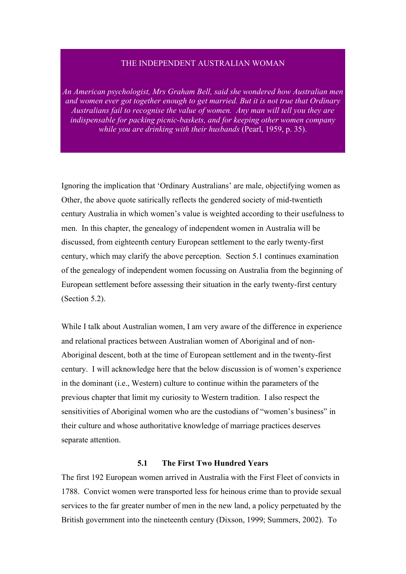## THE INDEPENDENT AUSTRALIAN WOMAN

*An American psychologist, Mrs Graham Bell, said she wondered how Australian men and women ever got together enough to get married. But it is not true that Ordinary Australians fail to recognise the value of women. Any man will tell you they are indispensable for packing picnic-baskets, and for keeping other women company while you are drinking with their husbands* (Pearl, 1959, p. 35).

Ignoring the implication that 'Ordinary Australians' are male, objectifying women as Other, the above quote satirically reflects the gendered society of mid-twentieth century Australia in which women's value is weighted according to their usefulness to men. In this chapter, the genealogy of independent women in Australia will be discussed, from eighteenth century European settlement to the early twenty-first century, which may clarify the above perception. Section 5.1 continues examination of the genealogy of independent women focussing on Australia from the beginning of European settlement before assessing their situation in the early twenty-first century (Section 5.2).

While I talk about Australian women, I am very aware of the difference in experience and relational practices between Australian women of Aboriginal and of non-Aboriginal descent, both at the time of European settlement and in the twenty-first century. I will acknowledge here that the below discussion is of women's experience in the dominant (i.e., Western) culture to continue within the parameters of the previous chapter that limit my curiosity to Western tradition. I also respect the sensitivities of Aboriginal women who are the custodians of "women's business" in their culture and whose authoritative knowledge of marriage practices deserves separate attention.

## **5.1 The First Two Hundred Years**

The first 192 European women arrived in Australia with the First Fleet of convicts in 1788. Convict women were transported less for heinous crime than to provide sexual services to the far greater number of men in the new land, a policy perpetuated by the British government into the nineteenth century (Dixson, 1999; Summers, 2002). To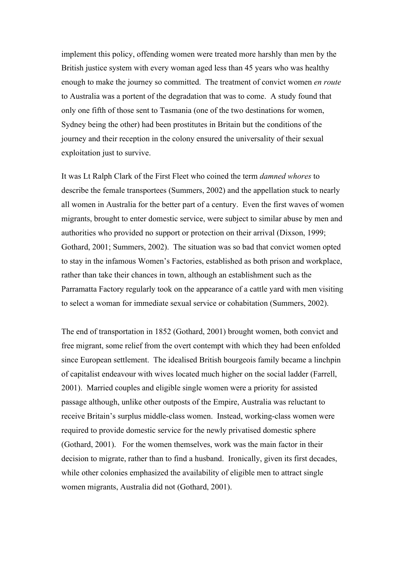implement this policy, offending women were treated more harshly than men by the British justice system with every woman aged less than 45 years who was healthy enough to make the journey so committed. The treatment of convict women *en route* to Australia was a portent of the degradation that was to come. A study found that only one fifth of those sent to Tasmania (one of the two destinations for women, Sydney being the other) had been prostitutes in Britain but the conditions of the journey and their reception in the colony ensured the universality of their sexual exploitation just to survive.

It was Lt Ralph Clark of the First Fleet who coined the term *damned whores* to describe the female transportees (Summers, 2002) and the appellation stuck to nearly all women in Australia for the better part of a century. Even the first waves of women migrants, brought to enter domestic service, were subject to similar abuse by men and authorities who provided no support or protection on their arrival (Dixson, 1999; Gothard, 2001; Summers, 2002). The situation was so bad that convict women opted to stay in the infamous Women's Factories, established as both prison and workplace, rather than take their chances in town, although an establishment such as the Parramatta Factory regularly took on the appearance of a cattle yard with men visiting to select a woman for immediate sexual service or cohabitation (Summers, 2002).

The end of transportation in 1852 (Gothard, 2001) brought women, both convict and free migrant, some relief from the overt contempt with which they had been enfolded since European settlement. The idealised British bourgeois family became a linchpin of capitalist endeavour with wives located much higher on the social ladder (Farrell, 2001). Married couples and eligible single women were a priority for assisted passage although, unlike other outposts of the Empire, Australia was reluctant to receive Britain's surplus middle-class women. Instead, working-class women were required to provide domestic service for the newly privatised domestic sphere (Gothard, 2001). For the women themselves, work was the main factor in their decision to migrate, rather than to find a husband. Ironically, given its first decades, while other colonies emphasized the availability of eligible men to attract single women migrants, Australia did not (Gothard, 2001).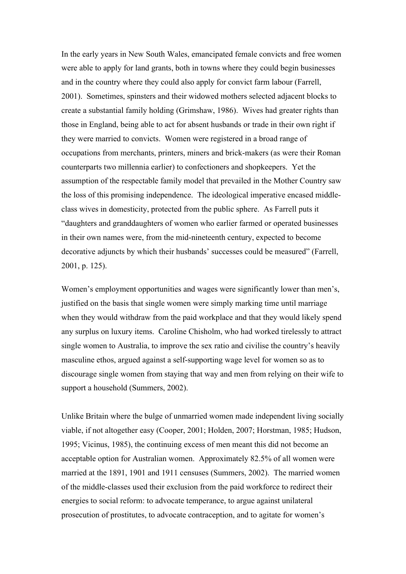In the early years in New South Wales, emancipated female convicts and free women were able to apply for land grants, both in towns where they could begin businesses and in the country where they could also apply for convict farm labour (Farrell, 2001). Sometimes, spinsters and their widowed mothers selected adjacent blocks to create a substantial family holding (Grimshaw, 1986). Wives had greater rights than those in England, being able to act for absent husbands or trade in their own right if they were married to convicts. Women were registered in a broad range of occupations from merchants, printers, miners and brick-makers (as were their Roman counterparts two millennia earlier) to confectioners and shopkeepers. Yet the assumption of the respectable family model that prevailed in the Mother Country saw the loss of this promising independence. The ideological imperative encased middleclass wives in domesticity, protected from the public sphere. As Farrell puts it "daughters and granddaughters of women who earlier farmed or operated businesses in their own names were, from the mid-nineteenth century, expected to become decorative adjuncts by which their husbands' successes could be measured" (Farrell, 2001, p. 125).

Women's employment opportunities and wages were significantly lower than men's, justified on the basis that single women were simply marking time until marriage when they would withdraw from the paid workplace and that they would likely spend any surplus on luxury items. Caroline Chisholm, who had worked tirelessly to attract single women to Australia, to improve the sex ratio and civilise the country's heavily masculine ethos, argued against a self-supporting wage level for women so as to discourage single women from staying that way and men from relying on their wife to support a household (Summers, 2002).

Unlike Britain where the bulge of unmarried women made independent living socially viable, if not altogether easy (Cooper, 2001; Holden, 2007; Horstman, 1985; Hudson, 1995; Vicinus, 1985), the continuing excess of men meant this did not become an acceptable option for Australian women. Approximately 82.5% of all women were married at the 1891, 1901 and 1911 censuses (Summers, 2002). The married women of the middle-classes used their exclusion from the paid workforce to redirect their energies to social reform: to advocate temperance, to argue against unilateral prosecution of prostitutes, to advocate contraception, and to agitate for women's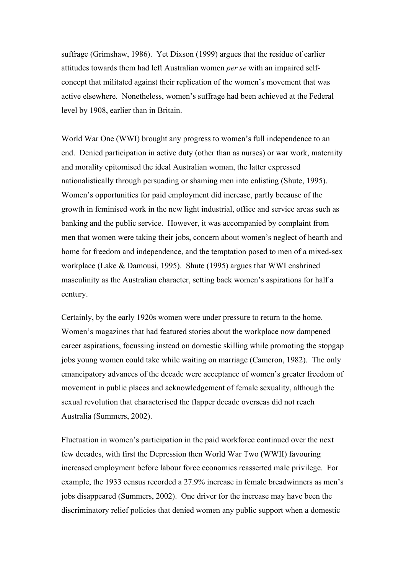suffrage (Grimshaw, 1986). Yet Dixson (1999) argues that the residue of earlier attitudes towards them had left Australian women *per se* with an impaired selfconcept that militated against their replication of the women's movement that was active elsewhere. Nonetheless, women's suffrage had been achieved at the Federal level by 1908, earlier than in Britain.

World War One (WWI) brought any progress to women's full independence to an end. Denied participation in active duty (other than as nurses) or war work, maternity and morality epitomised the ideal Australian woman, the latter expressed nationalistically through persuading or shaming men into enlisting (Shute, 1995). Women's opportunities for paid employment did increase, partly because of the growth in feminised work in the new light industrial, office and service areas such as banking and the public service. However, it was accompanied by complaint from men that women were taking their jobs, concern about women's neglect of hearth and home for freedom and independence, and the temptation posed to men of a mixed-sex workplace (Lake & Damousi, 1995). Shute (1995) argues that WWI enshrined masculinity as the Australian character, setting back women's aspirations for half a century.

Certainly, by the early 1920s women were under pressure to return to the home. Women's magazines that had featured stories about the workplace now dampened career aspirations, focussing instead on domestic skilling while promoting the stopgap jobs young women could take while waiting on marriage (Cameron, 1982). The only emancipatory advances of the decade were acceptance of women's greater freedom of movement in public places and acknowledgement of female sexuality, although the sexual revolution that characterised the flapper decade overseas did not reach Australia (Summers, 2002).

Fluctuation in women's participation in the paid workforce continued over the next few decades, with first the Depression then World War Two (WWII) favouring increased employment before labour force economics reasserted male privilege. For example, the 1933 census recorded a 27.9% increase in female breadwinners as men's jobs disappeared (Summers, 2002). One driver for the increase may have been the discriminatory relief policies that denied women any public support when a domestic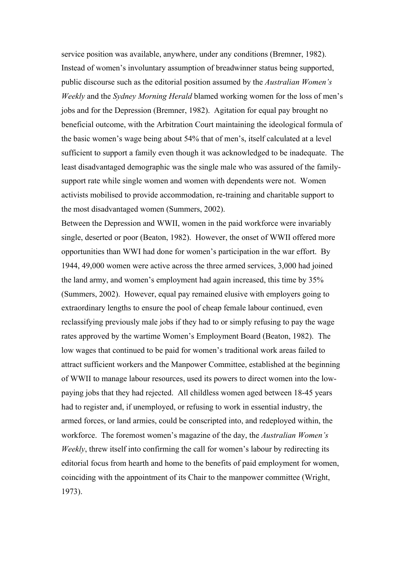service position was available, anywhere, under any conditions (Bremner, 1982). Instead of women's involuntary assumption of breadwinner status being supported, public discourse such as the editorial position assumed by the *Australian Women's Weekly* and the *Sydney Morning Herald* blamed working women for the loss of men's jobs and for the Depression (Bremner, 1982). Agitation for equal pay brought no beneficial outcome, with the Arbitration Court maintaining the ideological formula of the basic women's wage being about 54% that of men's, itself calculated at a level sufficient to support a family even though it was acknowledged to be inadequate. The least disadvantaged demographic was the single male who was assured of the familysupport rate while single women and women with dependents were not. Women activists mobilised to provide accommodation, re-training and charitable support to the most disadvantaged women (Summers, 2002).

Between the Depression and WWII, women in the paid workforce were invariably single, deserted or poor (Beaton, 1982). However, the onset of WWII offered more opportunities than WWI had done for women's participation in the war effort. By 1944, 49,000 women were active across the three armed services, 3,000 had joined the land army, and women's employment had again increased, this time by 35% (Summers, 2002). However, equal pay remained elusive with employers going to extraordinary lengths to ensure the pool of cheap female labour continued, even reclassifying previously male jobs if they had to or simply refusing to pay the wage rates approved by the wartime Women's Employment Board (Beaton, 1982). The low wages that continued to be paid for women's traditional work areas failed to attract sufficient workers and the Manpower Committee, established at the beginning of WWII to manage labour resources, used its powers to direct women into the lowpaying jobs that they had rejected. All childless women aged between 18-45 years had to register and, if unemployed, or refusing to work in essential industry, the armed forces, or land armies, could be conscripted into, and redeployed within, the workforce. The foremost women's magazine of the day, the *Australian Women's Weekly*, threw itself into confirming the call for women's labour by redirecting its editorial focus from hearth and home to the benefits of paid employment for women, coinciding with the appointment of its Chair to the manpower committee (Wright, 1973).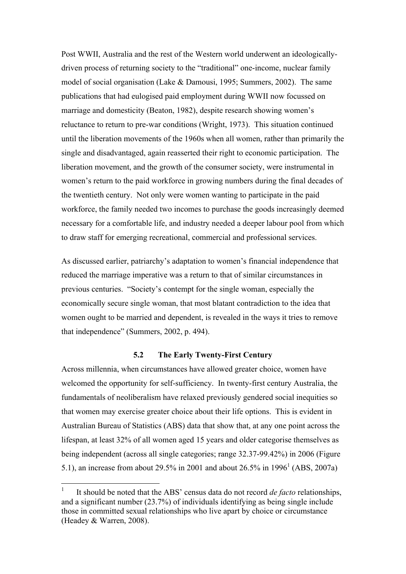Post WWII, Australia and the rest of the Western world underwent an ideologicallydriven process of returning society to the "traditional" one-income, nuclear family model of social organisation (Lake & Damousi, 1995; Summers, 2002). The same publications that had eulogised paid employment during WWII now focussed on marriage and domesticity (Beaton, 1982), despite research showing women's reluctance to return to pre-war conditions (Wright, 1973). This situation continued until the liberation movements of the 1960s when all women, rather than primarily the single and disadvantaged, again reasserted their right to economic participation. The liberation movement, and the growth of the consumer society, were instrumental in women's return to the paid workforce in growing numbers during the final decades of the twentieth century. Not only were women wanting to participate in the paid workforce, the family needed two incomes to purchase the goods increasingly deemed necessary for a comfortable life, and industry needed a deeper labour pool from which to draw staff for emerging recreational, commercial and professional services.

As discussed earlier, patriarchy's adaptation to women's financial independence that reduced the marriage imperative was a return to that of similar circumstances in previous centuries. "Society's contempt for the single woman, especially the economically secure single woman, that most blatant contradiction to the idea that women ought to be married and dependent, is revealed in the ways it tries to remove that independence" (Summers, 2002, p. 494).

## **5.2 The Early Twenty-First Century**

Across millennia, when circumstances have allowed greater choice, women have welcomed the opportunity for self-sufficiency. In twenty-first century Australia, the fundamentals of neoliberalism have relaxed previously gendered social inequities so that women may exercise greater choice about their life options. This is evident in Australian Bureau of Statistics (ABS) data that show that, at any one point across the lifespan, at least 32% of all women aged 15 years and older categorise themselves as being independent (across all single categories; range 32.37-99.42%) in 2006 (Figure 5.1), an increase from about 29.5% in 2001 and about 26.5% in 1996<sup>1</sup> (ABS, 2007a)

 $\frac{1}{1}$  It should be noted that the ABS' census data do not record *de facto* relationships, and a significant number (23.7%) of individuals identifying as being single include those in committed sexual relationships who live apart by choice or circumstance (Headey & Warren, 2008).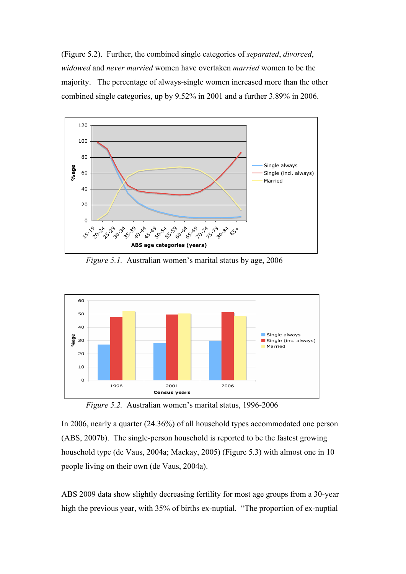(Figure 5.2). Further, the combined single categories of *separated*, *divorced*, *widowed* and *never married* women have overtaken *married* women to be the majority. The percentage of always-single women increased more than the other combined single categories, up by 9.52% in 2001 and a further 3.89% in 2006.



*Figure 5.1.* Australian women's marital status by age, 2006



*Figure 5.2.* Australian women's marital status, 1996-2006

In 2006, nearly a quarter (24.36%) of all household types accommodated one person (ABS, 2007b). The single-person household is reported to be the fastest growing household type (de Vaus, 2004a; Mackay, 2005) (Figure 5.3) with almost one in 10 people living on their own (de Vaus, 2004a).

ABS 2009 data show slightly decreasing fertility for most age groups from a 30-year high the previous year, with 35% of births ex-nuptial. "The proportion of ex-nuptial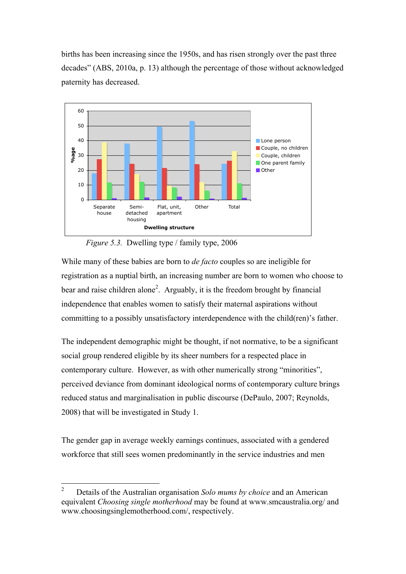births has been increasing since the 1950s, and has risen strongly over the past three decades" (ABS, 2010a, p. 13) although the percentage of those without acknowledged paternity has decreased.



*Figure 5.3.* Dwelling type / family type, 2006

While many of these babies are born to *de facto* couples so are ineligible for registration as a nuptial birth, an increasing number are born to women who choose to bear and raise children alone<sup>2</sup>. Arguably, it is the freedom brought by financial independence that enables women to satisfy their maternal aspirations without committing to a possibly unsatisfactory interdependence with the child(ren)'s father.

The independent demographic might be thought, if not normative, to be a significant social group rendered eligible by its sheer numbers for a respected place in contemporary culture. However, as with other numerically strong "minorities", perceived deviance from dominant ideological norms of contemporary culture brings reduced status and marginalisation in public discourse (DePaulo, 2007; Reynolds, 2008) that will be investigated in Study 1.

The gender gap in average weekly earnings continues, associated with a gendered workforce that still sees women predominantly in the service industries and men

 <sup>2</sup> Details of the Australian organisation *Solo mums by choice* and an American equivalent *Choosing single motherhood* may be found at www.smcaustralia.org/ and www.choosingsinglemotherhood.com/, respectively.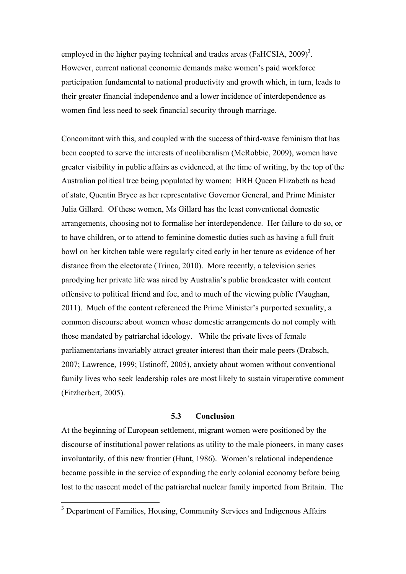employed in the higher paying technical and trades areas (FaHCSIA,  $2009$ )<sup>3</sup>. However, current national economic demands make women's paid workforce participation fundamental to national productivity and growth which, in turn, leads to their greater financial independence and a lower incidence of interdependence as women find less need to seek financial security through marriage.

Concomitant with this, and coupled with the success of third-wave feminism that has been coopted to serve the interests of neoliberalism (McRobbie, 2009), women have greater visibility in public affairs as evidenced, at the time of writing, by the top of the Australian political tree being populated by women: HRH Queen Elizabeth as head of state, Quentin Bryce as her representative Governor General, and Prime Minister Julia Gillard. Of these women, Ms Gillard has the least conventional domestic arrangements, choosing not to formalise her interdependence. Her failure to do so, or to have children, or to attend to feminine domestic duties such as having a full fruit bowl on her kitchen table were regularly cited early in her tenure as evidence of her distance from the electorate (Trinca, 2010). More recently, a television series parodying her private life was aired by Australia's public broadcaster with content offensive to political friend and foe, and to much of the viewing public (Vaughan, 2011). Much of the content referenced the Prime Minister's purported sexuality, a common discourse about women whose domestic arrangements do not comply with those mandated by patriarchal ideology. While the private lives of female parliamentarians invariably attract greater interest than their male peers (Drabsch, 2007; Lawrence, 1999; Ustinoff, 2005), anxiety about women without conventional family lives who seek leadership roles are most likely to sustain vituperative comment (Fitzherbert, 2005).

## **5.3 Conclusion**

At the beginning of European settlement, migrant women were positioned by the discourse of institutional power relations as utility to the male pioneers, in many cases involuntarily, of this new frontier (Hunt, 1986). Women's relational independence became possible in the service of expanding the early colonial economy before being lost to the nascent model of the patriarchal nuclear family imported from Britain. The

<sup>&</sup>lt;sup>3</sup> Department of Families, Housing, Community Services and Indigenous Affairs